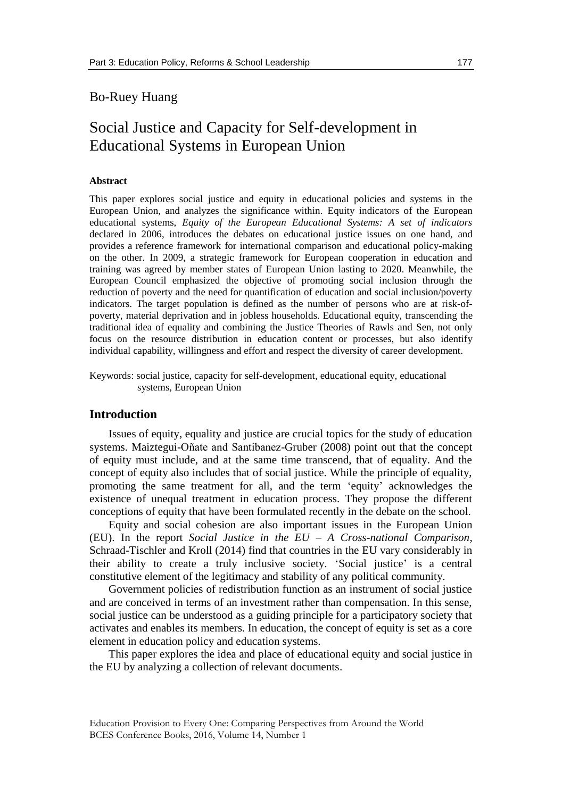## Bo-Ruey Huang

# Social Justice and Capacity for Self-development in Educational Systems in European Union

## **Abstract**

This paper explores social justice and equity in educational policies and systems in the European Union, and analyzes the significance within. Equity indicators of the European educational systems, *Equity of the European Educational Systems: A set of indicators* declared in 2006, introduces the debates on educational justice issues on one hand, and provides a reference framework for international comparison and educational policy-making on the other. In 2009, a strategic framework for European cooperation in education and training was agreed by member states of European Union lasting to 2020. Meanwhile, the European Council emphasized the objective of promoting social inclusion through the reduction of poverty and the need for quantification of education and social inclusion/poverty indicators. The target population is defined as the number of persons who are at risk-ofpoverty, material deprivation and in jobless households. Educational equity, transcending the traditional idea of equality and combining the Justice Theories of Rawls and Sen, not only focus on the resource distribution in education content or processes, but also identify individual capability, willingness and effort and respect the diversity of career development.

Keywords: social justice, capacity for self-development, educational equity, educational systems, European Union

## **Introduction**

Issues of equity, equality and justice are crucial topics for the study of education systems. Maiztegui-Oñate and Santibanez-Gruber (2008) point out that the concept of equity must include, and at the same time transcend, that of equality. And the concept of equity also includes that of social justice. While the principle of equality, promoting the same treatment for all, and the term 'equity' acknowledges the existence of unequal treatment in education process. They propose the different conceptions of equity that have been formulated recently in the debate on the school.

Equity and social cohesion are also important issues in the European Union (EU). In the report *Social Justice in the EU – A Cross-national Comparison*, Schraad-Tischler and Kroll (2014) find that countries in the EU vary considerably in their ability to create a truly inclusive society. 'Social justice' is a central constitutive element of the legitimacy and stability of any political community.

Government policies of redistribution function as an instrument of social justice and are conceived in terms of an investment rather than compensation. In this sense, social justice can be understood as a guiding principle for a participatory society that activates and enables its members. In education, the concept of equity is set as a core element in education policy and education systems.

This paper explores the idea and place of educational equity and social justice in the EU by analyzing a collection of relevant documents.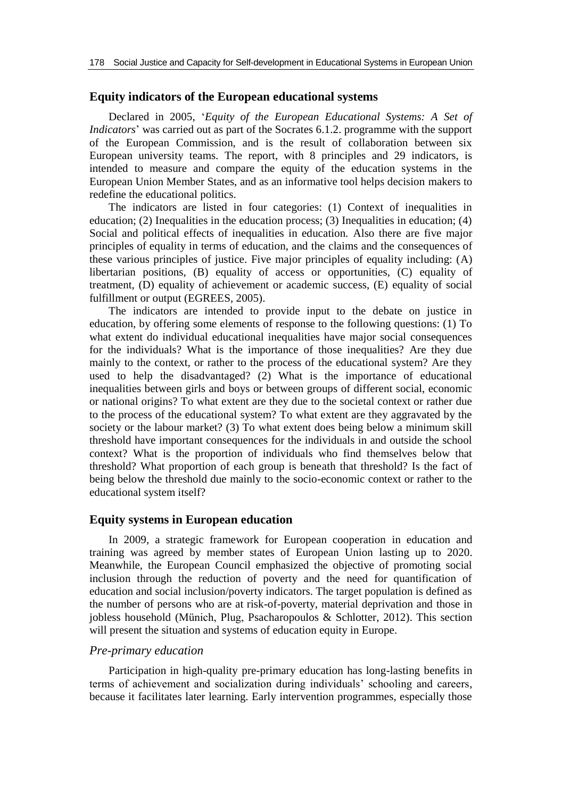## **Equity indicators of the European educational systems**

Declared in 2005, '*Equity of the European Educational Systems: A Set of Indicators*' was carried out as part of the Socrates 6.1.2. programme with the support of the European Commission, and is the result of collaboration between six European university teams. The report, with 8 principles and 29 indicators, is intended to measure and compare the equity of the education systems in the European Union Member States, and as an informative tool helps decision makers to redefine the educational politics.

The indicators are listed in four categories: (1) Context of inequalities in education; (2) Inequalities in the education process; (3) Inequalities in education; (4) Social and political effects of inequalities in education. Also there are five major principles of equality in terms of education, and the claims and the consequences of these various principles of justice. Five major principles of equality including: (A) libertarian positions, (B) equality of access or opportunities, (C) equality of treatment, (D) equality of achievement or academic success, (E) equality of social fulfillment or output (EGREES, 2005).

The indicators are intended to provide input to the debate on justice in education, by offering some elements of response to the following questions: (1) To what extent do individual educational inequalities have major social consequences for the individuals? What is the importance of those inequalities? Are they due mainly to the context, or rather to the process of the educational system? Are they used to help the disadvantaged? (2) What is the importance of educational inequalities between girls and boys or between groups of different social, economic or national origins? To what extent are they due to the societal context or rather due to the process of the educational system? To what extent are they aggravated by the society or the labour market? (3) To what extent does being below a minimum skill threshold have important consequences for the individuals in and outside the school context? What is the proportion of individuals who find themselves below that threshold? What proportion of each group is beneath that threshold? Is the fact of being below the threshold due mainly to the socio-economic context or rather to the educational system itself?

#### **Equity systems in European education**

In 2009, a strategic framework for European cooperation in education and training was agreed by member states of European Union lasting up to 2020. Meanwhile, the European Council emphasized the objective of promoting social inclusion through the reduction of poverty and the need for quantification of education and social inclusion/poverty indicators. The target population is defined as the number of persons who are at risk-of-poverty, material deprivation and those in jobless household (Münich, Plug, Psacharopoulos & Schlotter, 2012). This section will present the situation and systems of education equity in Europe.

#### *Pre-primary education*

Participation in high-quality pre-primary education has long-lasting benefits in terms of achievement and socialization during individuals' schooling and careers, because it facilitates later learning. Early intervention programmes, especially those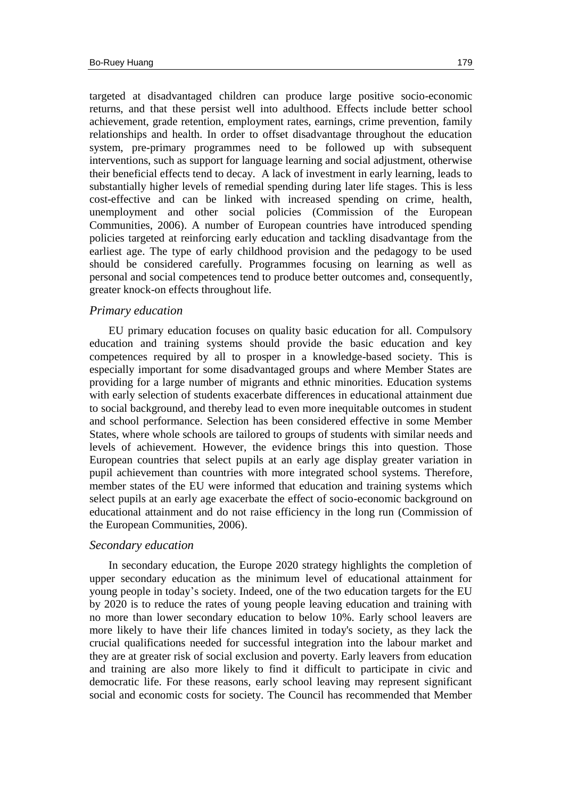targeted at disadvantaged children can produce large positive socio-economic returns, and that these persist well into adulthood. Effects include better school achievement, grade retention, employment rates, earnings, crime prevention, family relationships and health. In order to offset disadvantage throughout the education system, pre-primary programmes need to be followed up with subsequent interventions, such as support for language learning and social adjustment, otherwise their beneficial effects tend to decay. A lack of investment in early learning, leads to substantially higher levels of remedial spending during later life stages. This is less cost-effective and can be linked with increased spending on crime, health, unemployment and other social policies (Commission of the European Communities, 2006). A number of European countries have introduced spending policies targeted at reinforcing early education and tackling disadvantage from the earliest age. The type of early childhood provision and the pedagogy to be used should be considered carefully. Programmes focusing on learning as well as personal and social competences tend to produce better outcomes and, consequently, greater knock-on effects throughout life.

#### *Primary education*

EU primary education focuses on quality basic education for all. Compulsory education and training systems should provide the basic education and key competences required by all to prosper in a knowledge-based society. This is especially important for some disadvantaged groups and where Member States are providing for a large number of migrants and ethnic minorities. Education systems with early selection of students exacerbate differences in educational attainment due to social background, and thereby lead to even more inequitable outcomes in student and school performance. Selection has been considered effective in some Member States, where whole schools are tailored to groups of students with similar needs and levels of achievement. However, the evidence brings this into question. Those European countries that select pupils at an early age display greater variation in pupil achievement than countries with more integrated school systems. Therefore, member states of the EU were informed that education and training systems which select pupils at an early age exacerbate the effect of socio-economic background on educational attainment and do not raise efficiency in the long run (Commission of the European Communities, 2006).

## *Secondary education*

In secondary education, the Europe 2020 strategy highlights the completion of upper secondary education as the minimum level of educational attainment for young people in today's society. Indeed, one of the two education targets for the EU by 2020 is to reduce the rates of young people leaving education and training with no more than lower secondary education to below 10%. Early school leavers are more likely to have their life chances limited in today's society, as they lack the crucial qualifications needed for successful integration into the labour market and they are at greater risk of social exclusion and poverty. Early leavers from education and training are also more likely to find it difficult to participate in civic and democratic life. For these reasons, early school leaving may represent significant social and economic costs for society. The Council has recommended that Member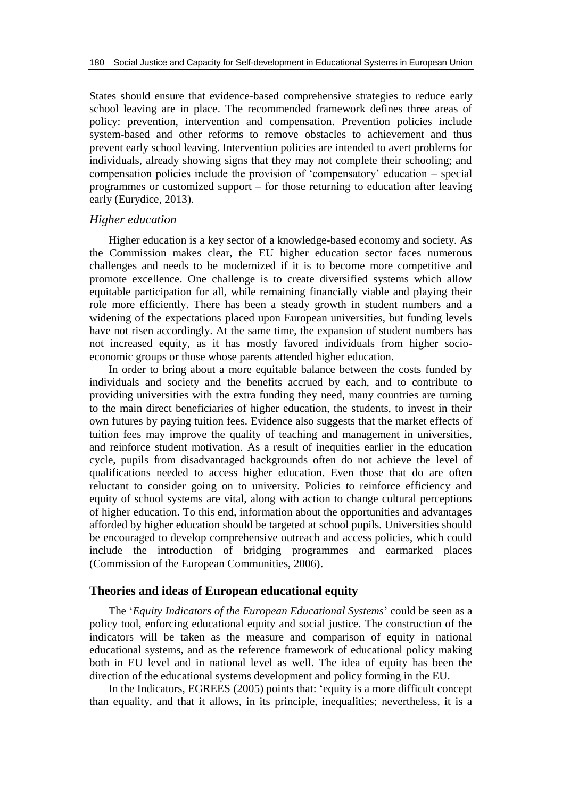States should ensure that evidence-based comprehensive strategies to reduce early school leaving are in place. The recommended framework defines three areas of policy: prevention, intervention and compensation. Prevention policies include system-based and other reforms to remove obstacles to achievement and thus prevent early school leaving. Intervention policies are intended to avert problems for individuals, already showing signs that they may not complete their schooling; and compensation policies include the provision of 'compensatory' education – special programmes or customized support – for those returning to education after leaving early (Eurydice, 2013).

#### *Higher education*

Higher education is a key sector of a knowledge-based economy and society. As the Commission makes clear, the EU higher education sector faces numerous challenges and needs to be modernized if it is to become more competitive and promote excellence. One challenge is to create diversified systems which allow equitable participation for all, while remaining financially viable and playing their role more efficiently. There has been a steady growth in student numbers and a widening of the expectations placed upon European universities, but funding levels have not risen accordingly. At the same time, the expansion of student numbers has not increased equity, as it has mostly favored individuals from higher socioeconomic groups or those whose parents attended higher education.

In order to bring about a more equitable balance between the costs funded by individuals and society and the benefits accrued by each, and to contribute to providing universities with the extra funding they need, many countries are turning to the main direct beneficiaries of higher education, the students, to invest in their own futures by paying tuition fees. Evidence also suggests that the market effects of tuition fees may improve the quality of teaching and management in universities, and reinforce student motivation. As a result of inequities earlier in the education cycle, pupils from disadvantaged backgrounds often do not achieve the level of qualifications needed to access higher education. Even those that do are often reluctant to consider going on to university. Policies to reinforce efficiency and equity of school systems are vital, along with action to change cultural perceptions of higher education. To this end, information about the opportunities and advantages afforded by higher education should be targeted at school pupils. Universities should be encouraged to develop comprehensive outreach and access policies, which could include the introduction of bridging programmes and earmarked places (Commission of the European Communities, 2006).

## **Theories and ideas of European educational equity**

The '*Equity Indicators of the European Educational Systems*' could be seen as a policy tool, enforcing educational equity and social justice. The construction of the indicators will be taken as the measure and comparison of equity in national educational systems, and as the reference framework of educational policy making both in EU level and in national level as well. The idea of equity has been the direction of the educational systems development and policy forming in the EU.

In the Indicators, EGREES (2005) points that: 'equity is a more difficult concept than equality, and that it allows, in its principle, inequalities; nevertheless, it is a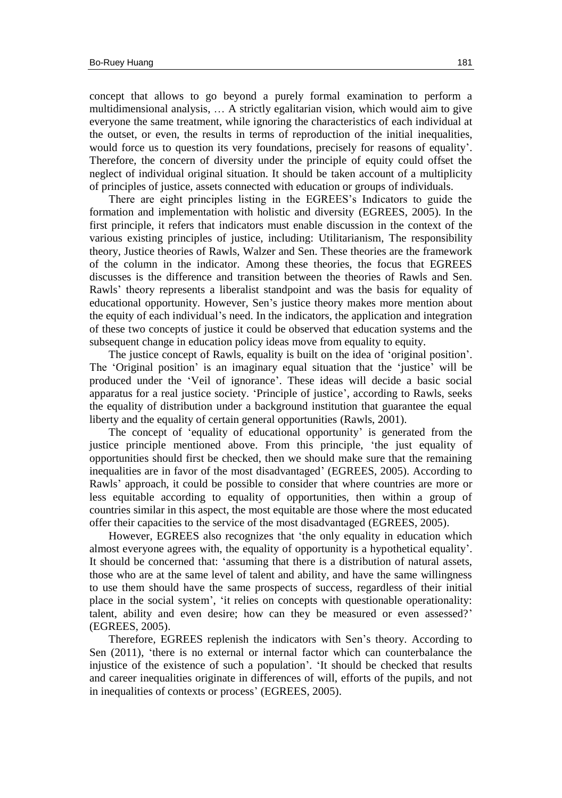concept that allows to go beyond a purely formal examination to perform a multidimensional analysis, … A strictly egalitarian vision, which would aim to give everyone the same treatment, while ignoring the characteristics of each individual at the outset, or even, the results in terms of reproduction of the initial inequalities, would force us to question its very foundations, precisely for reasons of equality'. Therefore, the concern of diversity under the principle of equity could offset the neglect of individual original situation. It should be taken account of a multiplicity of principles of justice, assets connected with education or groups of individuals.

There are eight principles listing in the EGREES's Indicators to guide the formation and implementation with holistic and diversity (EGREES, 2005). In the first principle, it refers that indicators must enable discussion in the context of the various existing principles of justice, including: Utilitarianism, The responsibility theory, Justice theories of Rawls, Walzer and Sen. These theories are the framework of the column in the indicator. Among these theories, the focus that EGREES discusses is the difference and transition between the theories of Rawls and Sen. Rawls' theory represents a liberalist standpoint and was the basis for equality of educational opportunity. However, Sen's justice theory makes more mention about the equity of each individual's need. In the indicators, the application and integration of these two concepts of justice it could be observed that education systems and the subsequent change in education policy ideas move from equality to equity.

The justice concept of Rawls, equality is built on the idea of 'original position'. The 'Original position' is an imaginary equal situation that the 'justice' will be produced under the 'Veil of ignorance'. These ideas will decide a basic social apparatus for a real justice society. 'Principle of justice', according to Rawls, seeks the equality of distribution under a background institution that guarantee the equal liberty and the equality of certain general opportunities (Rawls, 2001).

The concept of 'equality of educational opportunity' is generated from the justice principle mentioned above. From this principle, 'the just equality of opportunities should first be checked, then we should make sure that the remaining inequalities are in favor of the most disadvantaged' (EGREES, 2005). According to Rawls' approach, it could be possible to consider that where countries are more or less equitable according to equality of opportunities, then within a group of countries similar in this aspect, the most equitable are those where the most educated offer their capacities to the service of the most disadvantaged (EGREES, 2005).

However, EGREES also recognizes that 'the only equality in education which almost everyone agrees with, the equality of opportunity is a hypothetical equality'. It should be concerned that: 'assuming that there is a distribution of natural assets, those who are at the same level of talent and ability, and have the same willingness to use them should have the same prospects of success, regardless of their initial place in the social system', 'it relies on concepts with questionable operationality: talent, ability and even desire; how can they be measured or even assessed?' (EGREES, 2005).

Therefore, EGREES replenish the indicators with Sen's theory. According to Sen (2011), 'there is no external or internal factor which can counterbalance the injustice of the existence of such a population'. 'It should be checked that results and career inequalities originate in differences of will, efforts of the pupils, and not in inequalities of contexts or process' (EGREES, 2005).